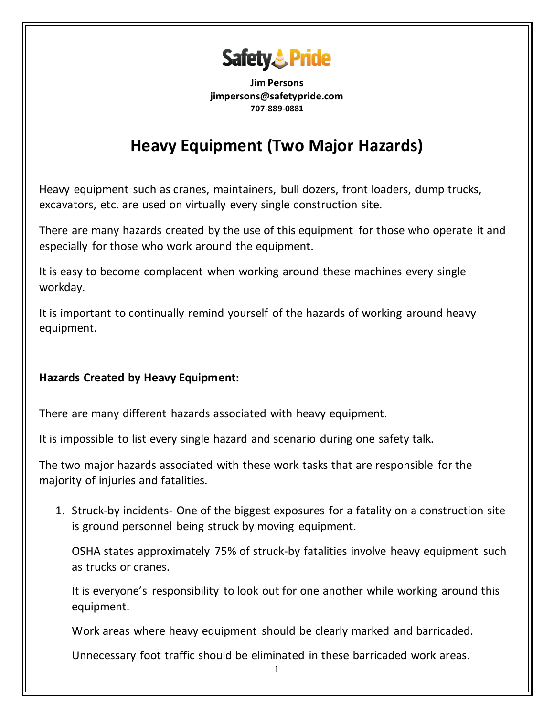

**Jim Persons jimpersons@safetypride.com 707-889-0881**

## **Heavy Equipment (Two Major Hazards)**

Heavy equipment such as cranes, maintainers, bull dozers, front loaders, dump trucks, excavators, etc. are used on virtually every single construction site.

There are many hazards created by the use of this equipment for those who operate it and especially for those who work around the equipment.

It is easy to become complacent when working around these machines every single workday.

It is important to continually remind yourself of the hazards of working around heavy equipment.

## **Hazards Created by Heavy Equipment:**

There are many different hazards associated with heavy equipment.

It is impossible to list every single hazard and scenario during one safety talk.

The two major hazards associated with these work tasks that are responsible for the majority of injuries and fatalities.

1. Struck-by incidents- One of the biggest exposures for a fatality on a construction site is ground personnel being struck by moving equipment.

[OSHA states](https://www.osha.gov/SLTC/etools/construction/struckby/mainpage.html) approximately 75% of struck-by fatalities involve heavy equipment such as trucks or cranes.

It is everyone's responsibility to look out for one another while working around this equipment.

Work areas where heavy equipment should be clearly marked and barricaded.

Unnecessary foot traffic should be eliminated in these barricaded work areas.